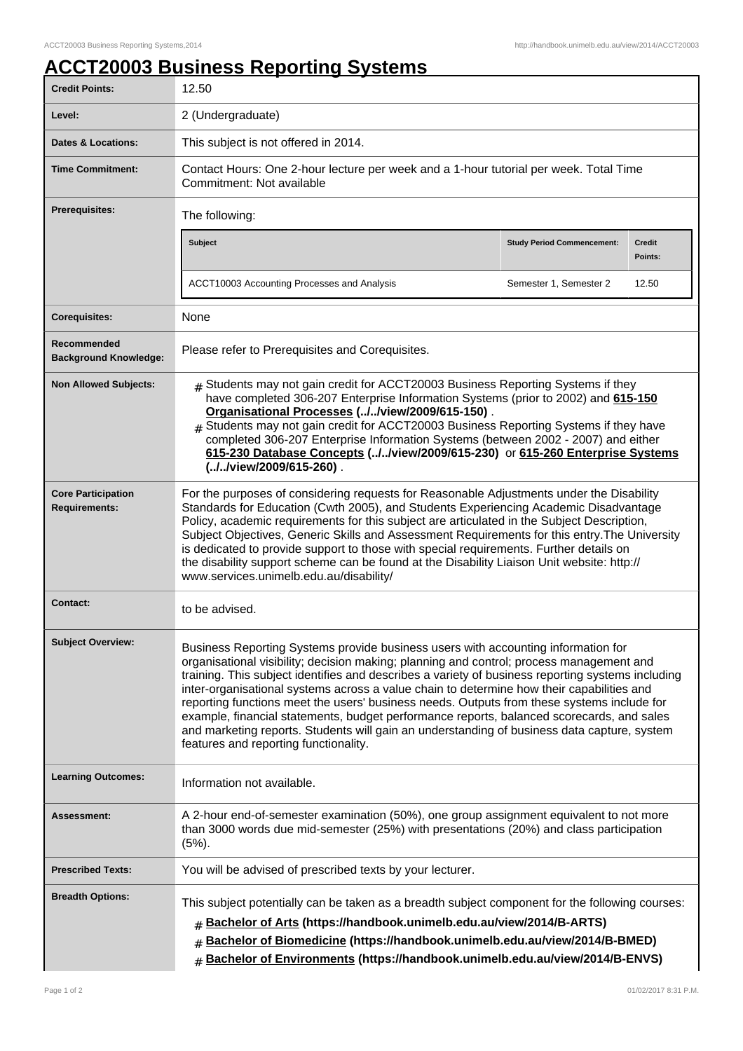## **ACCT20003 Business Reporting Systems**

| <b>Credit Points:</b>                             | 12.50                                                                                                                                                                                                                                                                                                                                                                                                                                                                                                                                                                                                                                                                                                              |                                   |                          |  |
|---------------------------------------------------|--------------------------------------------------------------------------------------------------------------------------------------------------------------------------------------------------------------------------------------------------------------------------------------------------------------------------------------------------------------------------------------------------------------------------------------------------------------------------------------------------------------------------------------------------------------------------------------------------------------------------------------------------------------------------------------------------------------------|-----------------------------------|--------------------------|--|
| Level:                                            | 2 (Undergraduate)                                                                                                                                                                                                                                                                                                                                                                                                                                                                                                                                                                                                                                                                                                  |                                   |                          |  |
| <b>Dates &amp; Locations:</b>                     | This subject is not offered in 2014.                                                                                                                                                                                                                                                                                                                                                                                                                                                                                                                                                                                                                                                                               |                                   |                          |  |
| <b>Time Commitment:</b>                           | Contact Hours: One 2-hour lecture per week and a 1-hour tutorial per week. Total Time<br>Commitment: Not available                                                                                                                                                                                                                                                                                                                                                                                                                                                                                                                                                                                                 |                                   |                          |  |
| <b>Prerequisites:</b>                             | The following:                                                                                                                                                                                                                                                                                                                                                                                                                                                                                                                                                                                                                                                                                                     |                                   |                          |  |
|                                                   | <b>Subject</b>                                                                                                                                                                                                                                                                                                                                                                                                                                                                                                                                                                                                                                                                                                     | <b>Study Period Commencement:</b> | <b>Credit</b><br>Points: |  |
|                                                   | ACCT10003 Accounting Processes and Analysis                                                                                                                                                                                                                                                                                                                                                                                                                                                                                                                                                                                                                                                                        | Semester 1, Semester 2            | 12.50                    |  |
| <b>Corequisites:</b>                              | None                                                                                                                                                                                                                                                                                                                                                                                                                                                                                                                                                                                                                                                                                                               |                                   |                          |  |
| Recommended<br><b>Background Knowledge:</b>       | Please refer to Prerequisites and Corequisites.                                                                                                                                                                                                                                                                                                                                                                                                                                                                                                                                                                                                                                                                    |                                   |                          |  |
| <b>Non Allowed Subjects:</b>                      | Students may not gain credit for ACCT20003 Business Reporting Systems if they<br>#<br>have completed 306-207 Enterprise Information Systems (prior to 2002) and 615-150<br>Organisational Processes (//view/2009/615-150).<br>Students may not gain credit for ACCT20003 Business Reporting Systems if they have<br>completed 306-207 Enterprise Information Systems (between 2002 - 2007) and either<br>615-230 Database Concepts (//view/2009/615-230) or 615-260 Enterprise Systems<br>(//view/2009/615-260).                                                                                                                                                                                                   |                                   |                          |  |
| <b>Core Participation</b><br><b>Requirements:</b> | For the purposes of considering requests for Reasonable Adjustments under the Disability<br>Standards for Education (Cwth 2005), and Students Experiencing Academic Disadvantage<br>Policy, academic requirements for this subject are articulated in the Subject Description,<br>Subject Objectives, Generic Skills and Assessment Requirements for this entry. The University<br>is dedicated to provide support to those with special requirements. Further details on<br>the disability support scheme can be found at the Disability Liaison Unit website: http://<br>www.services.unimelb.edu.au/disability/                                                                                                 |                                   |                          |  |
| <b>Contact:</b>                                   | to be advised.                                                                                                                                                                                                                                                                                                                                                                                                                                                                                                                                                                                                                                                                                                     |                                   |                          |  |
| <b>Subject Overview:</b>                          | Business Reporting Systems provide business users with accounting information for<br>organisational visibility; decision making; planning and control; process management and<br>training. This subject identifies and describes a variety of business reporting systems including<br>inter-organisational systems across a value chain to determine how their capabilities and<br>reporting functions meet the users' business needs. Outputs from these systems include for<br>example, financial statements, budget performance reports, balanced scorecards, and sales<br>and marketing reports. Students will gain an understanding of business data capture, system<br>features and reporting functionality. |                                   |                          |  |
| <b>Learning Outcomes:</b>                         | Information not available.                                                                                                                                                                                                                                                                                                                                                                                                                                                                                                                                                                                                                                                                                         |                                   |                          |  |
| <b>Assessment:</b>                                | A 2-hour end-of-semester examination (50%), one group assignment equivalent to not more<br>than 3000 words due mid-semester (25%) with presentations (20%) and class participation<br>$(5%)$ .                                                                                                                                                                                                                                                                                                                                                                                                                                                                                                                     |                                   |                          |  |
| <b>Prescribed Texts:</b>                          | You will be advised of prescribed texts by your lecturer.                                                                                                                                                                                                                                                                                                                                                                                                                                                                                                                                                                                                                                                          |                                   |                          |  |
| <b>Breadth Options:</b>                           | This subject potentially can be taken as a breadth subject component for the following courses:<br>Bachelor of Arts (https://handbook.unimelb.edu.au/view/2014/B-ARTS)<br>Bachelor of Biomedicine (https://handbook.unimelb.edu.au/view/2014/B-BMED)<br>#<br>Bachelor of Environments (https://handbook.unimelb.edu.au/view/2014/B-ENVS)<br>$\#$                                                                                                                                                                                                                                                                                                                                                                   |                                   |                          |  |